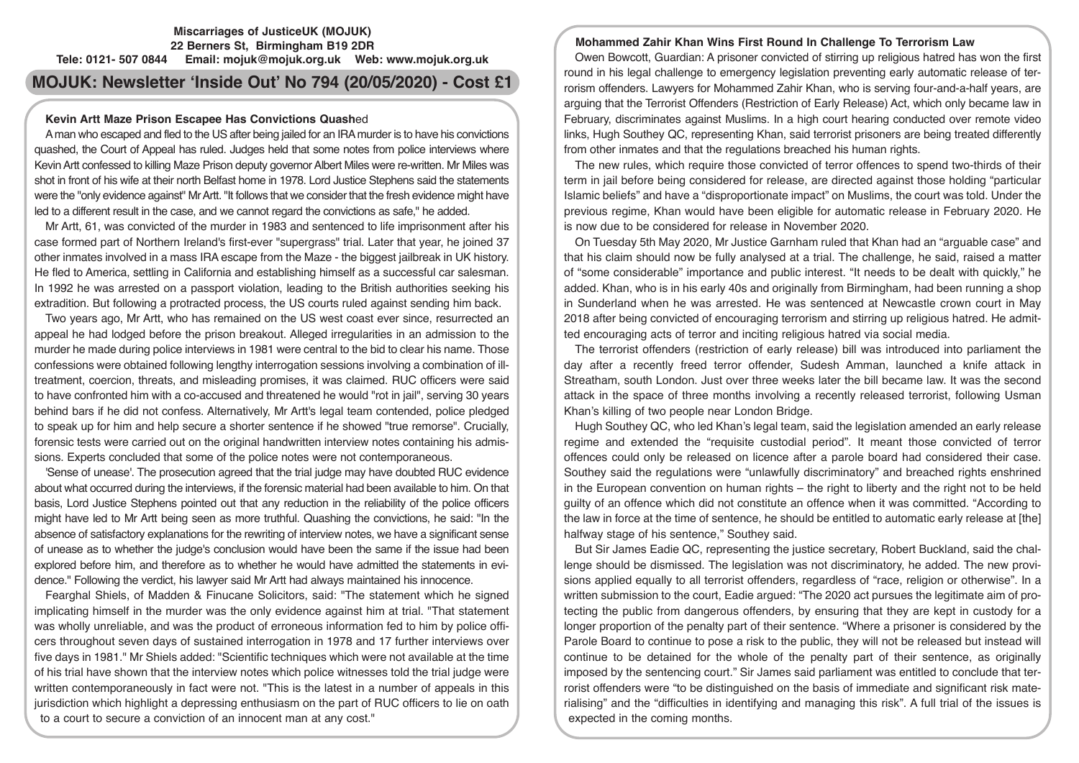# **Miscarriages of JusticeUK (MOJUK) 22 Berners St, Birmingham B19 2DR Tele: 0121- 507 0844 Email: mojuk@mojuk.org.uk Web: www.mojuk.org.uk**

# **MOJUK: Newsletter 'Inside Out' No 794 (20/05/2020) - Cost £1**

## **Kevin Artt Maze Prison Escapee Has Convictions Quash**ed

A man who escaped and fled to the US after being jailed for an IRA murder is to have his convictions quashed, the Court of Appeal has ruled. Judges held that some notes from police interviews where Kevin Artt confessed to killing Maze Prison deputy governor Albert Miles were re-written. Mr Miles was shot in front of his wife at their north Belfast home in 1978. Lord Justice Stephens said the statements were the "only evidence against" Mr Artt. "It follows that we consider that the fresh evidence might have led to a different result in the case, and we cannot regard the convictions as safe," he added.

Mr Artt, 61, was convicted of the murder in 1983 and sentenced to life imprisonment after his case formed part of Northern Ireland's first-ever "supergrass" trial. Later that year, he joined 37 other inmates involved in a mass IRA escape from the Maze - the biggest jailbreak in UK history. He fled to America, settling in California and establishing himself as a successful car salesman. In 1992 he was arrested on a passport violation, leading to the British authorities seeking his extradition. But following a protracted process, the US courts ruled against sending him back.

Two years ago, Mr Artt, who has remained on the US west coast ever since, resurrected an appeal he had lodged before the prison breakout. Alleged irregularities in an admission to the murder he made during police interviews in 1981 were central to the bid to clear his name. Those confessions were obtained following lengthy interrogation sessions involving a combination of illtreatment, coercion, threats, and misleading promises, it was claimed. RUC officers were said to have confronted him with a co-accused and threatened he would "rot in jail", serving 30 years behind bars if he did not confess. Alternatively, Mr Artt's legal team contended, police pledged to speak up for him and help secure a shorter sentence if he showed "true remorse". Crucially, forensic tests were carried out on the original handwritten interview notes containing his admissions. Experts concluded that some of the police notes were not contemporaneous.

'Sense of unease'. The prosecution agreed that the trial judge may have doubted RUC evidence about what occurred during the interviews, if the forensic material had been available to him. On that basis, Lord Justice Stephens pointed out that any reduction in the reliability of the police officers might have led to Mr Artt being seen as more truthful. Quashing the convictions, he said: "In the absence of satisfactory explanations for the rewriting of interview notes, we have a significant sense of unease as to whether the judge's conclusion would have been the same if the issue had been explored before him, and therefore as to whether he would have admitted the statements in evidence." Following the verdict, his lawyer said Mr Artt had always maintained his innocence.

Fearghal Shiels, of Madden & Finucane Solicitors, said: "The statement which he signed implicating himself in the murder was the only evidence against him at trial. "That statement was wholly unreliable, and was the product of erroneous information fed to him by police officers throughout seven days of sustained interrogation in 1978 and 17 further interviews over five days in 1981." Mr Shiels added: "Scientific techniques which were not available at the time of his trial have shown that the interview notes which police witnesses told the trial judge were written contemporaneously in fact were not. "This is the latest in a number of appeals in this jurisdiction which highlight a depressing enthusiasm on the part of RUC officers to lie on oath to a court to secure a conviction of an innocent man at any cost."

## **Mohammed Zahir Khan Wins First Round In Challenge To Terrorism Law**

Owen Bowcott, Guardian: A prisoner convicted of stirring up religious hatred has won the first round in his legal challenge to emergency legislation preventing early automatic release of terrorism offenders. Lawyers for Mohammed Zahir Khan, who is serving four-and-a-half years, are arguing that the Terrorist Offenders (Restriction of Early Release) Act, which only became law in February, discriminates against Muslims. In a high court hearing conducted over remote video links, Hugh Southey QC, representing Khan, said terrorist prisoners are being treated differently from other inmates and that the regulations breached his human rights.

The new rules, which require those convicted of terror offences to spend two-thirds of their term in jail before being considered for release, are directed against those holding "particular Islamic beliefs" and have a "disproportionate impact" on Muslims, the court was told. Under the previous regime, Khan would have been eligible for automatic release in February 2020. He is now due to be considered for release in November 2020.

On Tuesday 5th May 2020, Mr Justice Garnham ruled that Khan had an "arguable case" and that his claim should now be fully analysed at a trial. The challenge, he said, raised a matter of "some considerable" importance and public interest. "It needs to be dealt with quickly," he added. Khan, who is in his early 40s and originally from Birmingham, had been running a shop in Sunderland when he was arrested. He was sentenced at Newcastle crown court in May 2018 after being convicted of encouraging terrorism and stirring up religious hatred. He admitted encouraging acts of terror and inciting religious hatred via social media.

The terrorist offenders (restriction of early release) bill was introduced into parliament the day after a recently freed terror offender, Sudesh Amman, launched a knife attack in Streatham, south London. Just over three weeks later the bill became law. It was the second attack in the space of three months involving a recently released terrorist, following Usman Khan's killing of two people near London Bridge.

Hugh Southey QC, who led Khan's legal team, said the legislation amended an early release regime and extended the "requisite custodial period". It meant those convicted of terror offences could only be released on licence after a parole board had considered their case. Southey said the regulations were "unlawfully discriminatory" and breached rights enshrined in the European convention on human rights – the right to liberty and the right not to be held guilty of an offence which did not constitute an offence when it was committed. "According to the law in force at the time of sentence, he should be entitled to automatic early release at [the] halfway stage of his sentence," Southey said.

But Sir James Eadie QC, representing the justice secretary, Robert Buckland, said the challenge should be dismissed. The legislation was not discriminatory, he added. The new provisions applied equally to all terrorist offenders, regardless of "race, religion or otherwise". In a written submission to the court, Eadie argued: "The 2020 act pursues the legitimate aim of protecting the public from dangerous offenders, by ensuring that they are kept in custody for a longer proportion of the penalty part of their sentence. "Where a prisoner is considered by the Parole Board to continue to pose a risk to the public, they will not be released but instead will continue to be detained for the whole of the penalty part of their sentence, as originally imposed by the sentencing court." Sir James said parliament was entitled to conclude that terrorist offenders were "to be distinguished on the basis of immediate and significant risk materialising" and the "difficulties in identifying and managing this risk". A full trial of the issues is expected in the coming months.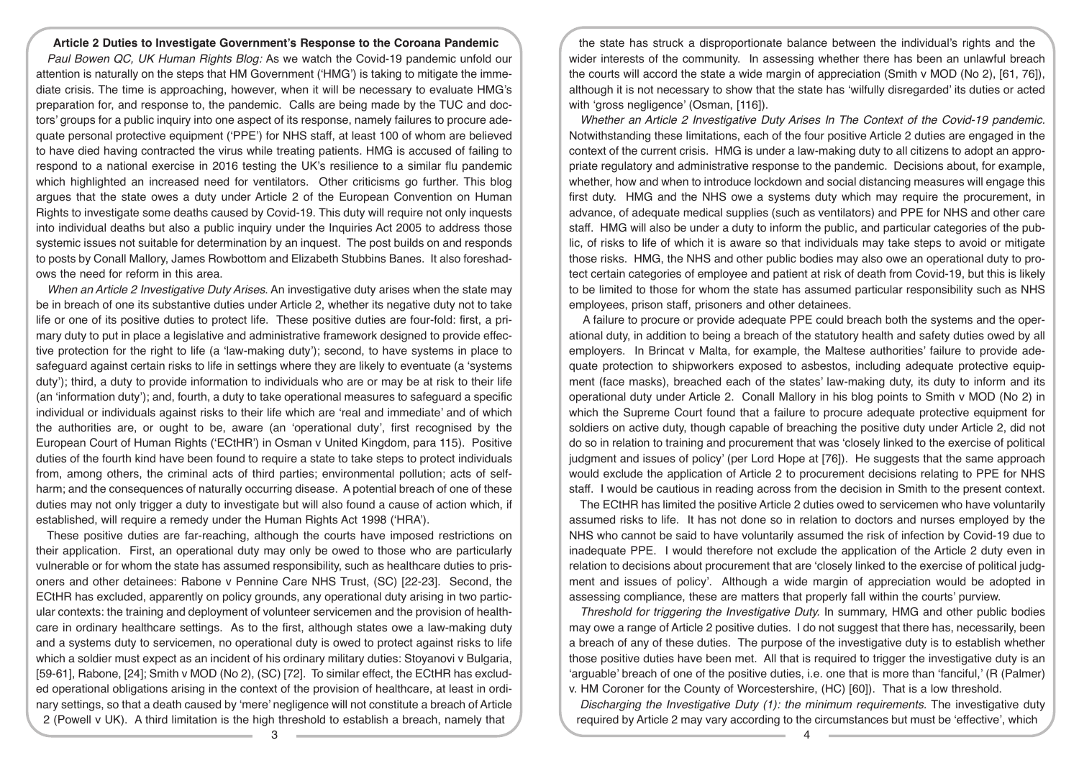#### **Article 2 Duties to Investigate Government's Response to the Coroana Pandemic**

*Paul Bowen QC, UK Human Rights Blog:* As we watch the Covid-19 pandemic unfold our attention is naturally on the steps that HM Government ('HMG') is taking to mitigate the immediate crisis. The time is approaching, however, when it will be necessary to evaluate HMG's preparation for, and response to, the pandemic. Calls are being made by the TUC and doctors' groups for a public inquiry into one aspect of its response, namely failures to procure adequate personal protective equipment ('PPE') for NHS staff, at least 100 of whom are believed to have died having contracted the virus while treating patients. HMG is accused of failing to respond to a national exercise in 2016 testing the UK's resilience to a similar flu pandemic which highlighted an increased need for ventilators. Other criticisms go further. This blog argues that the state owes a duty under Article 2 of the European Convention on Human Rights to investigate some deaths caused by Covid-19. This duty will require not only inquests into individual deaths but also a public inquiry under the Inquiries Act 2005 to address those systemic issues not suitable for determination by an inquest. The post builds on and responds to posts by Conall Mallory, James Rowbottom and Elizabeth Stubbins Banes. It also foreshadows the need for reform in this area.

*When an Article 2 Investigative Duty Arises*. An investigative duty arises when the state may be in breach of one its substantive duties under Article 2, whether its negative duty not to take life or one of its positive duties to protect life. These positive duties are four-fold: first, a primary duty to put in place a legislative and administrative framework designed to provide effective protection for the right to life (a 'law-making duty'); second, to have systems in place to safeguard against certain risks to life in settings where they are likely to eventuate (a 'systems duty'); third, a duty to provide information to individuals who are or may be at risk to their life (an 'information duty'); and, fourth, a duty to take operational measures to safeguard a specific individual or individuals against risks to their life which are 'real and immediate' and of which the authorities are, or ought to be, aware (an 'operational duty', first recognised by the European Court of Human Rights ('ECtHR') in Osman v United Kingdom, para 115). Positive duties of the fourth kind have been found to require a state to take steps to protect individuals from, among others, the criminal acts of third parties; environmental pollution; acts of selfharm; and the consequences of naturally occurring disease. A potential breach of one of these duties may not only trigger a duty to investigate but will also found a cause of action which, if established, will require a remedy under the Human Rights Act 1998 ('HRA').

These positive duties are far-reaching, although the courts have imposed restrictions on their application. First, an operational duty may only be owed to those who are particularly vulnerable or for whom the state has assumed responsibility, such as healthcare duties to prisoners and other detainees: Rabone v Pennine Care NHS Trust, (SC) [22-23]. Second, the ECtHR has excluded, apparently on policy grounds, any operational duty arising in two particular contexts: the training and deployment of volunteer servicemen and the provision of healthcare in ordinary healthcare settings. As to the first, although states owe a law-making duty and a systems duty to servicemen, no operational duty is owed to protect against risks to life which a soldier must expect as an incident of his ordinary military duties: Stoyanovi v Bulgaria, [59-61], Rabone, [24]; Smith v MOD (No 2), (SC) [72]. To similar effect, the ECtHR has excluded operational obligations arising in the context of the provision of healthcare, at least in ordinary settings, so that a death caused by 'mere' negligence will not constitute a breach of Article 2 (Powell v UK). A third limitation is the high threshold to establish a breach, namely that

the state has struck a disproportionate balance between the individual's rights and the wider interests of the community. In assessing whether there has been an unlawful breach the courts will accord the state a wide margin of appreciation (Smith v MOD (No 2), [61, 76]), although it is not necessary to show that the state has 'wilfully disregarded' its duties or acted with 'gross negligence' (Osman, [116]).

*Whether an Article 2 Investigative Duty Arises In The Context of the Covid-19 pandemic.*  Notwithstanding these limitations, each of the four positive Article 2 duties are engaged in the context of the current crisis. HMG is under a law-making duty to all citizens to adopt an appropriate regulatory and administrative response to the pandemic. Decisions about, for example, whether, how and when to introduce lockdown and social distancing measures will engage this first duty. HMG and the NHS owe a systems duty which may require the procurement, in advance, of adequate medical supplies (such as ventilators) and PPE for NHS and other care staff. HMG will also be under a duty to inform the public, and particular categories of the public, of risks to life of which it is aware so that individuals may take steps to avoid or mitigate those risks. HMG, the NHS and other public bodies may also owe an operational duty to protect certain categories of employee and patient at risk of death from Covid-19, but this is likely to be limited to those for whom the state has assumed particular responsibility such as NHS employees, prison staff, prisoners and other detainees.

 A failure to procure or provide adequate PPE could breach both the systems and the operational duty, in addition to being a breach of the statutory health and safety duties owed by all employers. In Brincat v Malta, for example, the Maltese authorities' failure to provide adequate protection to shipworkers exposed to asbestos, including adequate protective equipment (face masks), breached each of the states' law-making duty, its duty to inform and its operational duty under Article 2. Conall Mallory in his blog points to Smith v MOD (No 2) in which the Supreme Court found that a failure to procure adequate protective equipment for soldiers on active duty, though capable of breaching the positive duty under Article 2, did not do so in relation to training and procurement that was 'closely linked to the exercise of political judgment and issues of policy' (per Lord Hope at [76]). He suggests that the same approach would exclude the application of Article 2 to procurement decisions relating to PPE for NHS staff. I would be cautious in reading across from the decision in Smith to the present context.

The ECtHR has limited the positive Article 2 duties owed to servicemen who have voluntarily assumed risks to life. It has not done so in relation to doctors and nurses employed by the NHS who cannot be said to have voluntarily assumed the risk of infection by Covid-19 due to inadequate PPE. I would therefore not exclude the application of the Article 2 duty even in relation to decisions about procurement that are 'closely linked to the exercise of political judgment and issues of policy'. Although a wide margin of appreciation would be adopted in assessing compliance, these are matters that properly fall within the courts' purview.

*Threshold for triggering the Investigative Duty.* In summary, HMG and other public bodies may owe a range of Article 2 positive duties. I do not suggest that there has, necessarily, been a breach of any of these duties. The purpose of the investigative duty is to establish whether those positive duties have been met. All that is required to trigger the investigative duty is an 'arguable' breach of one of the positive duties, i.e. one that is more than 'fanciful,' (R (Palmer) v. HM Coroner for the County of Worcestershire, (HC) [60]). That is a low threshold.

*Discharging the Investigative Duty (1): the minimum requirements.* The investigative duty required by Article 2 may vary according to the circumstances but must be 'effective', which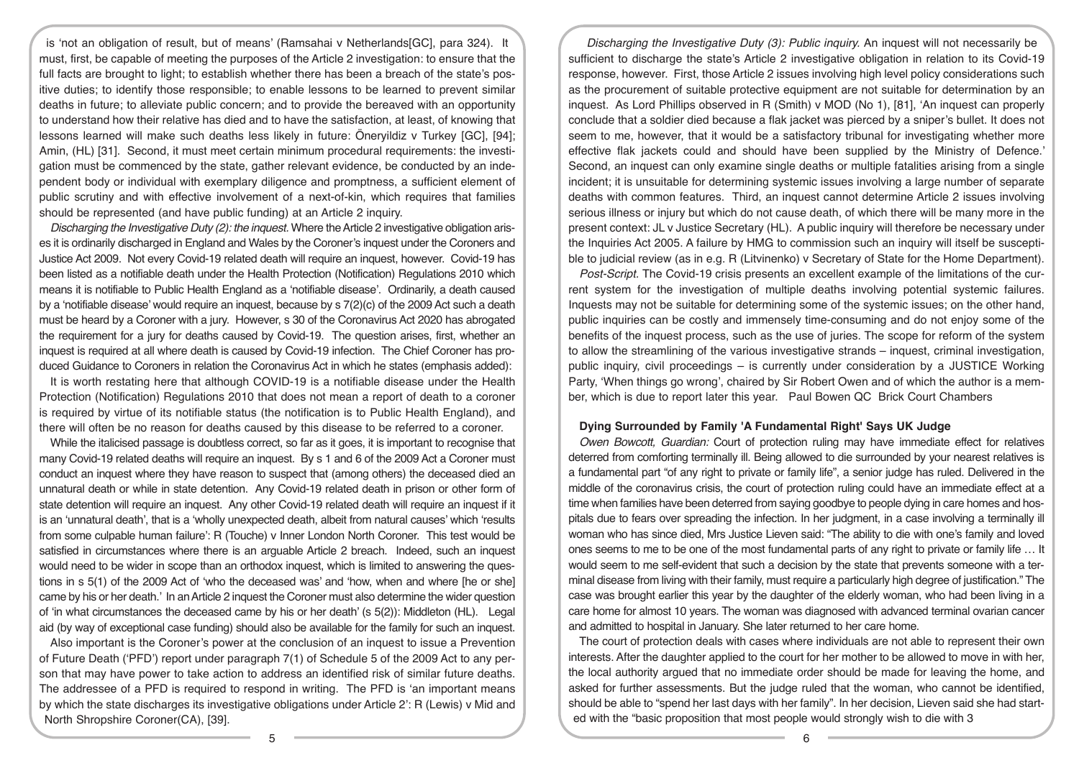is 'not an obligation of result, but of means' (Ramsahai v Netherlands[GC], para 324). It must, first, be capable of meeting the purposes of the Article 2 investigation: to ensure that the full facts are brought to light; to establish whether there has been a breach of the state's positive duties; to identify those responsible; to enable lessons to be learned to prevent similar deaths in future; to alleviate public concern; and to provide the bereaved with an opportunity to understand how their relative has died and to have the satisfaction, at least, of knowing that lessons learned will make such deaths less likely in future: Öneryildiz v Turkey [GC], [94]; Amin, (HL) [31]. Second, it must meet certain minimum procedural requirements: the investigation must be commenced by the state, gather relevant evidence, be conducted by an independent body or individual with exemplary diligence and promptness, a sufficient element of public scrutiny and with effective involvement of a next-of-kin, which requires that families should be represented (and have public funding) at an Article 2 inquiry.

*Discharging the Investigative Duty (2): the inquest.* Where the Article 2 investigative obligation arises it is ordinarily discharged in England and Wales by the Coroner's inquest under the Coroners and Justice Act 2009. Not every Covid-19 related death will require an inquest, however. Covid-19 has been listed as a notifiable death under the Health Protection (Notification) Regulations 2010 which means it is notifiable to Public Health England as a 'notifiable disease'. Ordinarily, a death caused by a 'notifiable disease' would require an inquest, because by s 7(2)(c) of the 2009 Act such a death must be heard by a Coroner with a jury. However, s 30 of the Coronavirus Act 2020 has abrogated the requirement for a jury for deaths caused by Covid-19. The question arises, first, whether an inquest is required at all where death is caused by Covid-19 infection. The Chief Coroner has produced Guidance to Coroners in relation the Coronavirus Act in which he states (emphasis added):

It is worth restating here that although COVID-19 is a notifiable disease under the Health Protection (Notification) Regulations 2010 that does not mean a report of death to a coroner is required by virtue of its notifiable status (the notification is to Public Health England), and there will often be no reason for deaths caused by this disease to be referred to a coroner.

While the italicised passage is doubtless correct, so far as it goes, it is important to recognise that many Covid-19 related deaths will require an inquest. By s 1 and 6 of the 2009 Act a Coroner must conduct an inquest where they have reason to suspect that (among others) the deceased died an unnatural death or while in state detention. Any Covid-19 related death in prison or other form of state detention will require an inquest. Any other Covid-19 related death will require an inquest if it is an 'unnatural death', that is a 'wholly unexpected death, albeit from natural causes' which 'results from some culpable human failure': R (Touche) v Inner London North Coroner. This test would be satisfied in circumstances where there is an arguable Article 2 breach. Indeed, such an inquest would need to be wider in scope than an orthodox inquest, which is limited to answering the questions in s 5(1) of the 2009 Act of 'who the deceased was' and 'how, when and where [he or she] came by his or her death.' In an Article 2 inquest the Coroner must also determine the wider question of 'in what circumstances the deceased came by his or her death' (s 5(2)): Middleton (HL). Legal aid (by way of exceptional case funding) should also be available for the family for such an inquest.

Also important is the Coroner's power at the conclusion of an inquest to issue a Prevention of Future Death ('PFD') report under paragraph 7(1) of Schedule 5 of the 2009 Act to any person that may have power to take action to address an identified risk of similar future deaths. The addressee of a PFD is required to respond in writing. The PFD is 'an important means by which the state discharges its investigative obligations under Article 2': R (Lewis) v Mid and North Shropshire Coroner(CA), [39].

*Discharging the Investigative Duty (3): Public inquiry.* An inquest will not necessarily be sufficient to discharge the state's Article 2 investigative obligation in relation to its Covid-19 response, however. First, those Article 2 issues involving high level policy considerations such as the procurement of suitable protective equipment are not suitable for determination by an inquest. As Lord Phillips observed in R (Smith) v MOD (No 1), [81], 'An inquest can properly conclude that a soldier died because a flak jacket was pierced by a sniper's bullet. It does not seem to me, however, that it would be a satisfactory tribunal for investigating whether more effective flak jackets could and should have been supplied by the Ministry of Defence.' Second, an inquest can only examine single deaths or multiple fatalities arising from a single incident; it is unsuitable for determining systemic issues involving a large number of separate deaths with common features. Third, an inquest cannot determine Article 2 issues involving serious illness or injury but which do not cause death, of which there will be many more in the present context: JL v Justice Secretary (HL). A public inquiry will therefore be necessary under the Inquiries Act 2005. A failure by HMG to commission such an inquiry will itself be susceptible to judicial review (as in e.g. R (Litvinenko) v Secretary of State for the Home Department).

*Post-Script.* The Covid-19 crisis presents an excellent example of the limitations of the current system for the investigation of multiple deaths involving potential systemic failures. Inquests may not be suitable for determining some of the systemic issues; on the other hand, public inquiries can be costly and immensely time-consuming and do not enjoy some of the benefits of the inquest process, such as the use of juries. The scope for reform of the system to allow the streamlining of the various investigative strands – inquest, criminal investigation, public inquiry, civil proceedings – is currently under consideration by a JUSTICE Working Party, 'When things go wrong', chaired by Sir Robert Owen and of which the author is a member, which is due to report later this year. Paul Bowen QC Brick Court Chambers

# **Dying Surrounded by Family 'A Fundamental Right' Says UK Judge**

*Owen Bowcott, Guardian:* Court of protection ruling may have immediate effect for relatives deterred from comforting terminally ill. Being allowed to die surrounded by your nearest relatives is a fundamental part "of any right to private or family life", a senior judge has ruled. Delivered in the middle of the coronavirus crisis, the court of protection ruling could have an immediate effect at a time when families have been deterred from saying goodbye to people dying in care homes and hospitals due to fears over spreading the infection. In her judgment, in a case involving a terminally ill woman who has since died, Mrs Justice Lieven said: "The ability to die with one's family and loved ones seems to me to be one of the most fundamental parts of any right to private or family life … It would seem to me self-evident that such a decision by the state that prevents someone with a terminal disease from living with their family, must require a particularly high degree of justification." The case was brought earlier this year by the daughter of the elderly woman, who had been living in a care home for almost 10 years. The woman was diagnosed with advanced terminal ovarian cancer and admitted to hospital in January. She later returned to her care home.

The court of protection deals with cases where individuals are not able to represent their own interests. After the daughter applied to the court for her mother to be allowed to move in with her, the local authority argued that no immediate order should be made for leaving the home, and asked for further assessments. But the judge ruled that the woman, who cannot be identified, should be able to "spend her last days with her family". In her decision, Lieven said she had started with the "basic proposition that most people would strongly wish to die with 3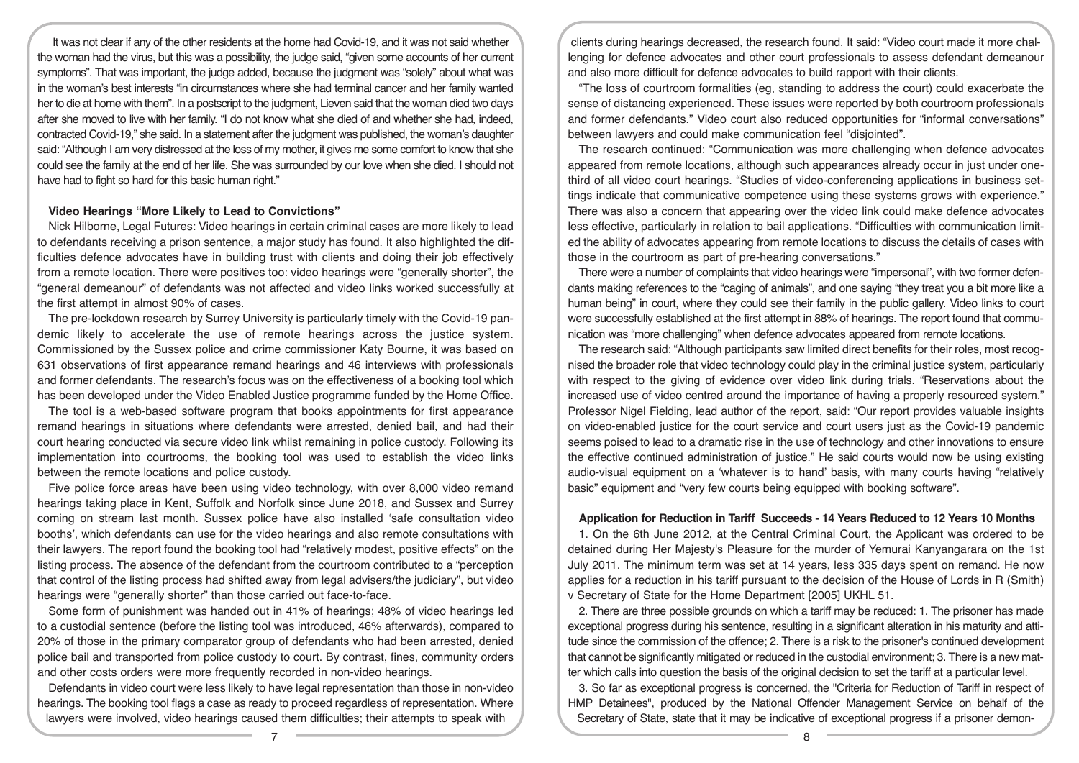It was not clear if any of the other residents at the home had Covid-19, and it was not said whether the woman had the virus, but this was a possibility, the judge said, "given some accounts of her current symptoms". That was important, the judge added, because the judgment was "solely" about what was in the woman's best interests "in circumstances where she had terminal cancer and her family wanted her to die at home with them". In a postscript to the judgment, Lieven said that the woman died two days after she moved to live with her family. "I do not know what she died of and whether she had, indeed, contracted Covid-19," she said. In a statement after the judgment was published, the woman's daughter said: "Although I am very distressed at the loss of my mother, it gives me some comfort to know that she could see the family at the end of her life. She was surrounded by our love when she died. I should not have had to fight so hard for this basic human right."

#### **Video Hearings "More Likely to Lead to Convictions"**

Nick Hilborne, Legal Futures: Video hearings in certain criminal cases are more likely to lead to defendants receiving a prison sentence, a major study has found. It also highlighted the difficulties defence advocates have in building trust with clients and doing their job effectively from a remote location. There were positives too: video hearings were "generally shorter", the "general demeanour" of defendants was not affected and video links worked successfully at the first attempt in almost 90% of cases.

The pre-lockdown research by Surrey University is particularly timely with the Covid-19 pandemic likely to accelerate the use of remote hearings across the justice system. Commissioned by the Sussex police and crime commissioner Katy Bourne, it was based on 631 observations of first appearance remand hearings and 46 interviews with professionals and former defendants. The research's focus was on the effectiveness of a booking tool which has been developed under the Video Enabled Justice programme funded by the Home Office.

The tool is a web-based software program that books appointments for first appearance remand hearings in situations where defendants were arrested, denied bail, and had their court hearing conducted via secure video link whilst remaining in police custody. Following its implementation into courtrooms, the booking tool was used to establish the video links between the remote locations and police custody.

Five police force areas have been using video technology, with over 8,000 video remand hearings taking place in Kent, Suffolk and Norfolk since June 2018, and Sussex and Surrey coming on stream last month. Sussex police have also installed 'safe consultation video booths', which defendants can use for the video hearings and also remote consultations with their lawyers. The report found the booking tool had "relatively modest, positive effects" on the listing process. The absence of the defendant from the courtroom contributed to a "perception that control of the listing process had shifted away from legal advisers/the judiciary", but video hearings were "generally shorter" than those carried out face-to-face.

Some form of punishment was handed out in 41% of hearings; 48% of video hearings led to a custodial sentence (before the listing tool was introduced, 46% afterwards), compared to 20% of those in the primary comparator group of defendants who had been arrested, denied police bail and transported from police custody to court. By contrast, fines, community orders and other costs orders were more frequently recorded in non-video hearings.

Defendants in video court were less likely to have legal representation than those in non-video hearings. The booking tool flags a case as ready to proceed regardless of representation. Where lawyers were involved, video hearings caused them difficulties; their attempts to speak with

clients during hearings decreased, the research found. It said: "Video court made it more challenging for defence advocates and other court professionals to assess defendant demeanour and also more difficult for defence advocates to build rapport with their clients.

"The loss of courtroom formalities (eg, standing to address the court) could exacerbate the sense of distancing experienced. These issues were reported by both courtroom professionals and former defendants." Video court also reduced opportunities for "informal conversations" between lawyers and could make communication feel "disjointed".

The research continued: "Communication was more challenging when defence advocates appeared from remote locations, although such appearances already occur in just under onethird of all video court hearings. "Studies of video-conferencing applications in business settings indicate that communicative competence using these systems grows with experience." There was also a concern that appearing over the video link could make defence advocates less effective, particularly in relation to bail applications. "Difficulties with communication limited the ability of advocates appearing from remote locations to discuss the details of cases with those in the courtroom as part of pre-hearing conversations."

There were a number of complaints that video hearings were "impersonal", with two former defendants making references to the "caging of animals", and one saying "they treat you a bit more like a human being" in court, where they could see their family in the public gallery. Video links to court were successfully established at the first attempt in 88% of hearings. The report found that communication was "more challenging" when defence advocates appeared from remote locations.

The research said: "Although participants saw limited direct benefits for their roles, most recognised the broader role that video technology could play in the criminal justice system, particularly with respect to the giving of evidence over video link during trials. "Reservations about the increased use of video centred around the importance of having a properly resourced system." Professor Nigel Fielding, lead author of the report, said: "Our report provides valuable insights on video-enabled justice for the court service and court users just as the Covid-19 pandemic seems poised to lead to a dramatic rise in the use of technology and other innovations to ensure the effective continued administration of justice." He said courts would now be using existing audio-visual equipment on a 'whatever is to hand' basis, with many courts having "relatively basic" equipment and "very few courts being equipped with booking software".

# **Application for Reduction in Tariff Succeeds - 14 Years Reduced to 12 Years 10 Months**

1. On the 6th June 2012, at the Central Criminal Court, the Applicant was ordered to be detained during Her Majesty's Pleasure for the murder of Yemurai Kanyangarara on the 1st July 2011. The minimum term was set at 14 years, less 335 days spent on remand. He now applies for a reduction in his tariff pursuant to the decision of the House of Lords in R (Smith) v Secretary of State for the Home Department [2005] UKHL 51.

2. There are three possible grounds on which a tariff may be reduced: 1. The prisoner has made exceptional progress during his sentence, resulting in a significant alteration in his maturity and attitude since the commission of the offence; 2. There is a risk to the prisoner's continued development that cannot be significantly mitigated or reduced in the custodial environment; 3. There is a new matter which calls into question the basis of the original decision to set the tariff at a particular level.

3. So far as exceptional progress is concerned, the "Criteria for Reduction of Tariff in respect of HMP Detainees", produced by the National Offender Management Service on behalf of the Secretary of State, state that it may be indicative of exceptional progress if a prisoner demon-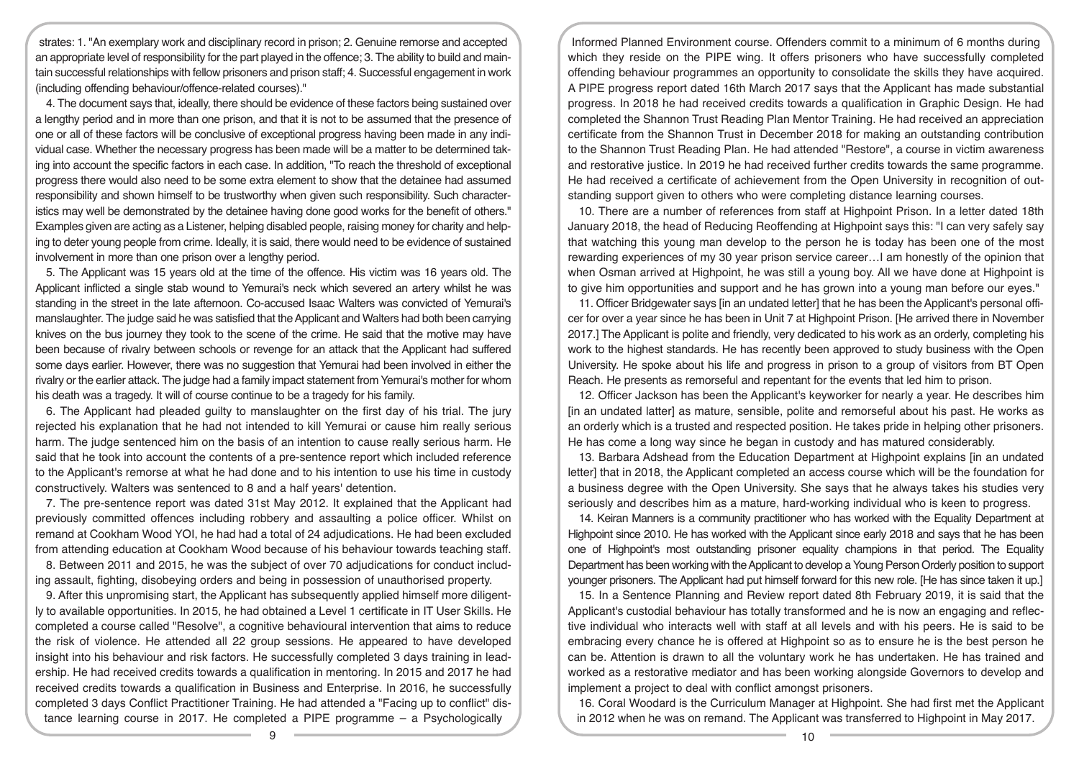strates: 1. "An exemplary work and disciplinary record in prison; 2. Genuine remorse and accepted an appropriate level of responsibility for the part played in the offence; 3. The ability to build and maintain successful relationships with fellow prisoners and prison staff; 4. Successful engagement in work (including offending behaviour/offence-related courses)."

4. The document says that, ideally, there should be evidence of these factors being sustained over a lengthy period and in more than one prison, and that it is not to be assumed that the presence of one or all of these factors will be conclusive of exceptional progress having been made in any individual case. Whether the necessary progress has been made will be a matter to be determined taking into account the specific factors in each case. In addition, "To reach the threshold of exceptional progress there would also need to be some extra element to show that the detainee had assumed responsibility and shown himself to be trustworthy when given such responsibility. Such characteristics may well be demonstrated by the detainee having done good works for the benefit of others." Examples given are acting as a Listener, helping disabled people, raising money for charity and helping to deter young people from crime. Ideally, it is said, there would need to be evidence of sustained involvement in more than one prison over a lengthy period.

5. The Applicant was 15 years old at the time of the offence. His victim was 16 years old. The Applicant inflicted a single stab wound to Yemurai's neck which severed an artery whilst he was standing in the street in the late afternoon. Co-accused Isaac Walters was convicted of Yemurai's manslaughter. The judge said he was satisfied that the Applicant and Walters had both been carrying knives on the bus journey they took to the scene of the crime. He said that the motive may have been because of rivalry between schools or revenge for an attack that the Applicant had suffered some days earlier. However, there was no suggestion that Yemurai had been involved in either the rivalry or the earlier attack. The judge had a family impact statement from Yemurai's mother for whom his death was a tragedy. It will of course continue to be a tragedy for his family.

6. The Applicant had pleaded guilty to manslaughter on the first day of his trial. The jury rejected his explanation that he had not intended to kill Yemurai or cause him really serious harm. The judge sentenced him on the basis of an intention to cause really serious harm. He said that he took into account the contents of a pre-sentence report which included reference to the Applicant's remorse at what he had done and to his intention to use his time in custody constructively. Walters was sentenced to 8 and a half years' detention.

7. The pre-sentence report was dated 31st May 2012. It explained that the Applicant had previously committed offences including robbery and assaulting a police officer. Whilst on remand at Cookham Wood YOI, he had had a total of 24 adjudications. He had been excluded from attending education at Cookham Wood because of his behaviour towards teaching staff.

8. Between 2011 and 2015, he was the subject of over 70 adjudications for conduct including assault, fighting, disobeying orders and being in possession of unauthorised property.

9. After this unpromising start, the Applicant has subsequently applied himself more diligently to available opportunities. In 2015, he had obtained a Level 1 certificate in IT User Skills. He completed a course called "Resolve", a cognitive behavioural intervention that aims to reduce the risk of violence. He attended all 22 group sessions. He appeared to have developed insight into his behaviour and risk factors. He successfully completed 3 days training in leadership. He had received credits towards a qualification in mentoring. In 2015 and 2017 he had received credits towards a qualification in Business and Enterprise. In 2016, he successfully completed 3 days Conflict Practitioner Training. He had attended a "Facing up to conflict" distance learning course in 2017. He completed a PIPE programme – a Psychologically

Informed Planned Environment course. Offenders commit to a minimum of 6 months during which they reside on the PIPE wing. It offers prisoners who have successfully completed offending behaviour programmes an opportunity to consolidate the skills they have acquired. A PIPE progress report dated 16th March 2017 says that the Applicant has made substantial progress. In 2018 he had received credits towards a qualification in Graphic Design. He had completed the Shannon Trust Reading Plan Mentor Training. He had received an appreciation certificate from the Shannon Trust in December 2018 for making an outstanding contribution to the Shannon Trust Reading Plan. He had attended "Restore", a course in victim awareness and restorative justice. In 2019 he had received further credits towards the same programme. He had received a certificate of achievement from the Open University in recognition of outstanding support given to others who were completing distance learning courses.

10. There are a number of references from staff at Highpoint Prison. In a letter dated 18th January 2018, the head of Reducing Reoffending at Highpoint says this: "I can very safely say that watching this young man develop to the person he is today has been one of the most rewarding experiences of my 30 year prison service career…I am honestly of the opinion that when Osman arrived at Highpoint, he was still a young boy. All we have done at Highpoint is to give him opportunities and support and he has grown into a young man before our eyes."

11. Officer Bridgewater says [in an undated letter] that he has been the Applicant's personal officer for over a year since he has been in Unit 7 at Highpoint Prison. [He arrived there in November 2017.] The Applicant is polite and friendly, very dedicated to his work as an orderly, completing his work to the highest standards. He has recently been approved to study business with the Open University. He spoke about his life and progress in prison to a group of visitors from BT Open Reach. He presents as remorseful and repentant for the events that led him to prison.

12. Officer Jackson has been the Applicant's keyworker for nearly a year. He describes him [in an undated latter] as mature, sensible, polite and remorseful about his past. He works as an orderly which is a trusted and respected position. He takes pride in helping other prisoners. He has come a long way since he began in custody and has matured considerably.

13. Barbara Adshead from the Education Department at Highpoint explains [in an undated letter] that in 2018, the Applicant completed an access course which will be the foundation for a business degree with the Open University. She says that he always takes his studies very seriously and describes him as a mature, hard-working individual who is keen to progress.

14. Keiran Manners is a community practitioner who has worked with the Equality Department at Highpoint since 2010. He has worked with the Applicant since early 2018 and says that he has been one of Highpoint's most outstanding prisoner equality champions in that period. The Equality Department has been working with the Applicant to develop a Young Person Orderly position to support younger prisoners. The Applicant had put himself forward for this new role. [He has since taken it up.]

15. In a Sentence Planning and Review report dated 8th February 2019, it is said that the Applicant's custodial behaviour has totally transformed and he is now an engaging and reflective individual who interacts well with staff at all levels and with his peers. He is said to be embracing every chance he is offered at Highpoint so as to ensure he is the best person he can be. Attention is drawn to all the voluntary work he has undertaken. He has trained and worked as a restorative mediator and has been working alongside Governors to develop and implement a project to deal with conflict amongst prisoners.

16. Coral Woodard is the Curriculum Manager at Highpoint. She had first met the Applicant in 2012 when he was on remand. The Applicant was transferred to Highpoint in May 2017.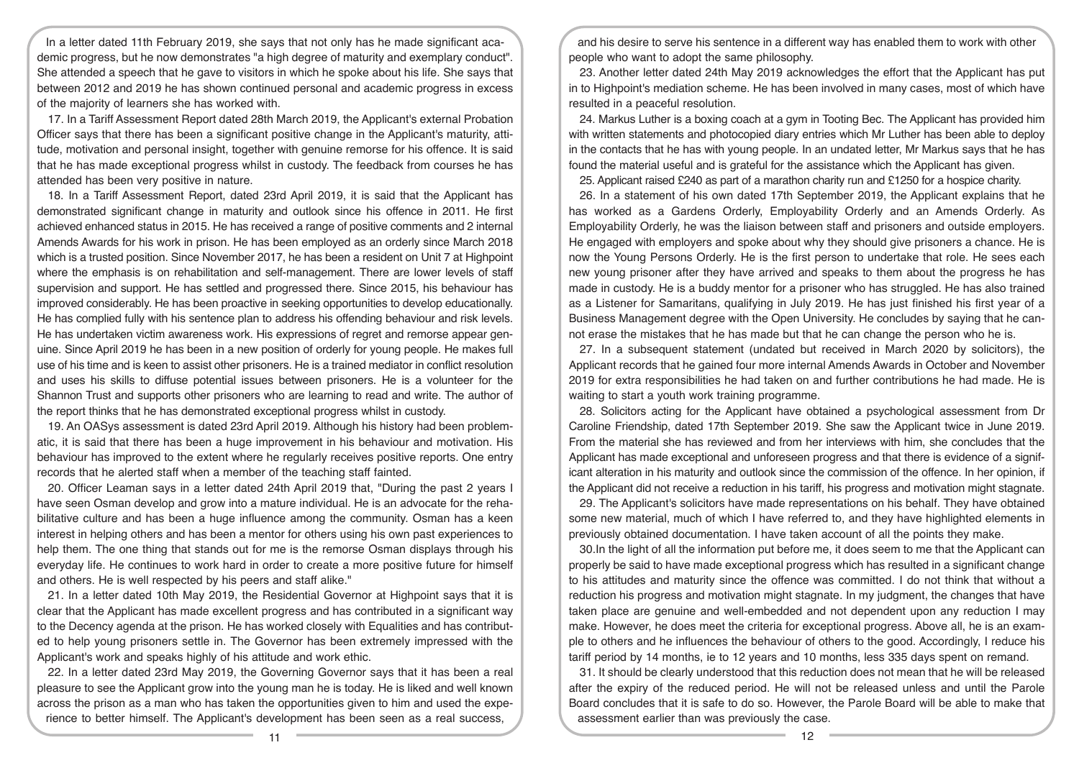In a letter dated 11th February 2019, she says that not only has he made significant academic progress, but he now demonstrates "a high degree of maturity and exemplary conduct". She attended a speech that he gave to visitors in which he spoke about his life. She says that between 2012 and 2019 he has shown continued personal and academic progress in excess of the majority of learners she has worked with.

17. In a Tariff Assessment Report dated 28th March 2019, the Applicant's external Probation Officer says that there has been a significant positive change in the Applicant's maturity, attitude, motivation and personal insight, together with genuine remorse for his offence. It is said that he has made exceptional progress whilst in custody. The feedback from courses he has attended has been very positive in nature.

18. In a Tariff Assessment Report, dated 23rd April 2019, it is said that the Applicant has demonstrated significant change in maturity and outlook since his offence in 2011. He first achieved enhanced status in 2015. He has received a range of positive comments and 2 internal Amends Awards for his work in prison. He has been employed as an orderly since March 2018 which is a trusted position. Since November 2017, he has been a resident on Unit 7 at Highpoint where the emphasis is on rehabilitation and self-management. There are lower levels of staff supervision and support. He has settled and progressed there. Since 2015, his behaviour has improved considerably. He has been proactive in seeking opportunities to develop educationally. He has complied fully with his sentence plan to address his offending behaviour and risk levels. He has undertaken victim awareness work. His expressions of regret and remorse appear genuine. Since April 2019 he has been in a new position of orderly for young people. He makes full use of his time and is keen to assist other prisoners. He is a trained mediator in conflict resolution and uses his skills to diffuse potential issues between prisoners. He is a volunteer for the Shannon Trust and supports other prisoners who are learning to read and write. The author of the report thinks that he has demonstrated exceptional progress whilst in custody.

19. An OASys assessment is dated 23rd April 2019. Although his history had been problematic, it is said that there has been a huge improvement in his behaviour and motivation. His behaviour has improved to the extent where he regularly receives positive reports. One entry records that he alerted staff when a member of the teaching staff fainted.

20. Officer Leaman says in a letter dated 24th April 2019 that, "During the past 2 years I have seen Osman develop and grow into a mature individual. He is an advocate for the rehabilitative culture and has been a huge influence among the community. Osman has a keen interest in helping others and has been a mentor for others using his own past experiences to help them. The one thing that stands out for me is the remorse Osman displays through his everyday life. He continues to work hard in order to create a more positive future for himself and others. He is well respected by his peers and staff alike."

21. In a letter dated 10th May 2019, the Residential Governor at Highpoint says that it is clear that the Applicant has made excellent progress and has contributed in a significant way to the Decency agenda at the prison. He has worked closely with Equalities and has contributed to help young prisoners settle in. The Governor has been extremely impressed with the Applicant's work and speaks highly of his attitude and work ethic.

22. In a letter dated 23rd May 2019, the Governing Governor says that it has been a real pleasure to see the Applicant grow into the young man he is today. He is liked and well known across the prison as a man who has taken the opportunities given to him and used the experience to better himself. The Applicant's development has been seen as a real success,

and his desire to serve his sentence in a different way has enabled them to work with other people who want to adopt the same philosophy.

23. Another letter dated 24th May 2019 acknowledges the effort that the Applicant has put in to Highpoint's mediation scheme. He has been involved in many cases, most of which have resulted in a peaceful resolution.

24. Markus Luther is a boxing coach at a gym in Tooting Bec. The Applicant has provided him with written statements and photocopied diary entries which Mr Luther has been able to deploy in the contacts that he has with young people. In an undated letter, Mr Markus says that he has found the material useful and is grateful for the assistance which the Applicant has given.

25. Applicant raised £240 as part of a marathon charity run and £1250 for a hospice charity.

26. In a statement of his own dated 17th September 2019, the Applicant explains that he has worked as a Gardens Orderly, Employability Orderly and an Amends Orderly. As Employability Orderly, he was the liaison between staff and prisoners and outside employers. He engaged with employers and spoke about why they should give prisoners a chance. He is now the Young Persons Orderly. He is the first person to undertake that role. He sees each new young prisoner after they have arrived and speaks to them about the progress he has made in custody. He is a buddy mentor for a prisoner who has struggled. He has also trained as a Listener for Samaritans, qualifying in July 2019. He has just finished his first year of a Business Management degree with the Open University. He concludes by saying that he cannot erase the mistakes that he has made but that he can change the person who he is.

27. In a subsequent statement (undated but received in March 2020 by solicitors), the Applicant records that he gained four more internal Amends Awards in October and November 2019 for extra responsibilities he had taken on and further contributions he had made. He is waiting to start a youth work training programme.

28. Solicitors acting for the Applicant have obtained a psychological assessment from Dr Caroline Friendship, dated 17th September 2019. She saw the Applicant twice in June 2019. From the material she has reviewed and from her interviews with him, she concludes that the Applicant has made exceptional and unforeseen progress and that there is evidence of a significant alteration in his maturity and outlook since the commission of the offence. In her opinion, if the Applicant did not receive a reduction in his tariff, his progress and motivation might stagnate.

29. The Applicant's solicitors have made representations on his behalf. They have obtained some new material, much of which I have referred to, and they have highlighted elements in previously obtained documentation. I have taken account of all the points they make.

30.In the light of all the information put before me, it does seem to me that the Applicant can properly be said to have made exceptional progress which has resulted in a significant change to his attitudes and maturity since the offence was committed. I do not think that without a reduction his progress and motivation might stagnate. In my judgment, the changes that have taken place are genuine and well-embedded and not dependent upon any reduction I may make. However, he does meet the criteria for exceptional progress. Above all, he is an example to others and he influences the behaviour of others to the good. Accordingly, I reduce his tariff period by 14 months, ie to 12 years and 10 months, less 335 days spent on remand.

31. It should be clearly understood that this reduction does not mean that he will be released after the expiry of the reduced period. He will not be released unless and until the Parole Board concludes that it is safe to do so. However, the Parole Board will be able to make that assessment earlier than was previously the case.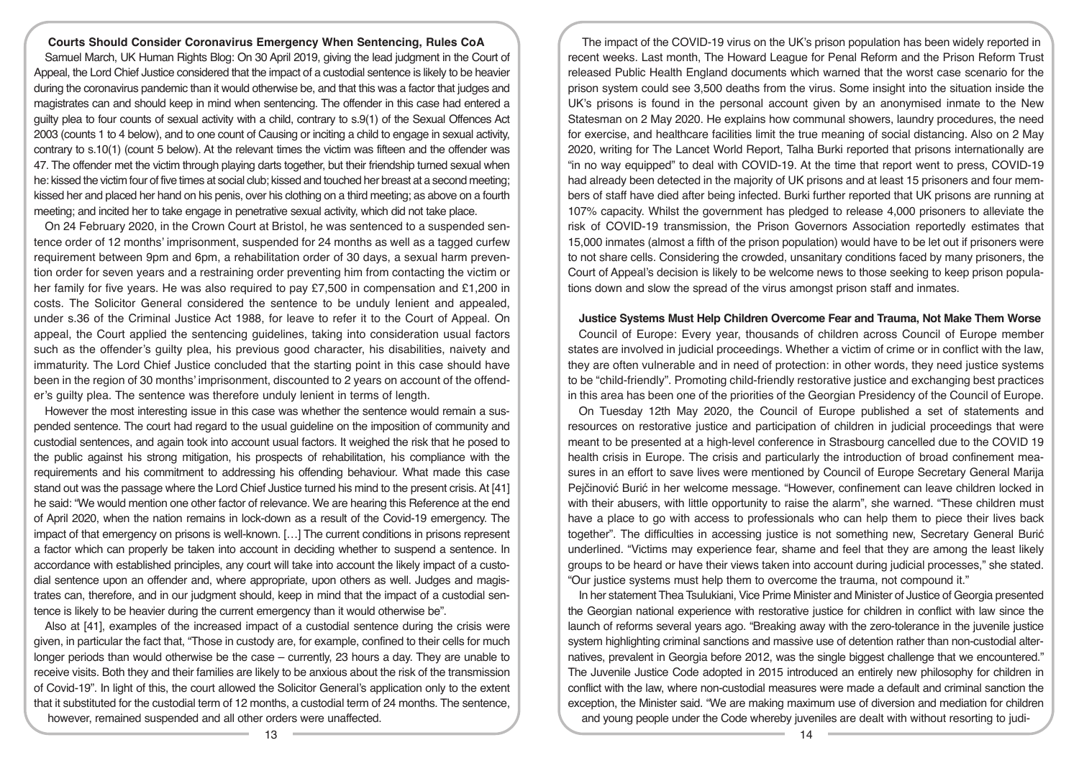**Courts Should Consider Coronavirus Emergency When Sentencing, Rules CoA**  Samuel March, UK Human Rights Blog: On 30 April 2019, giving the lead judgment in the Court of Appeal, the Lord Chief Justice considered that the impact of a custodial sentence is likely to be heavier during the coronavirus pandemic than it would otherwise be, and that this was a factor that judges and magistrates can and should keep in mind when sentencing. The offender in this case had entered a guilty plea to four counts of sexual activity with a child, contrary to s.9(1) of the Sexual Offences Act 2003 (counts 1 to 4 below), and to one count of Causing or inciting a child to engage in sexual activity, contrary to s.10(1) (count 5 below). At the relevant times the victim was fifteen and the offender was 47. The offender met the victim through playing darts together, but their friendship turned sexual when he: kissed the victim four of five times at social club; kissed and touched her breast at a second meeting; kissed her and placed her hand on his penis, over his clothing on a third meeting; as above on a fourth meeting; and incited her to take engage in penetrative sexual activity, which did not take place.

On 24 February 2020, in the Crown Court at Bristol, he was sentenced to a suspended sentence order of 12 months' imprisonment, suspended for 24 months as well as a tagged curfew requirement between 9pm and 6pm, a rehabilitation order of 30 days, a sexual harm prevention order for seven years and a restraining order preventing him from contacting the victim or her family for five years. He was also required to pay £7,500 in compensation and £1,200 in costs. The Solicitor General considered the sentence to be unduly lenient and appealed, under s.36 of the Criminal Justice Act 1988, for leave to refer it to the Court of Appeal. On appeal, the Court applied the sentencing guidelines, taking into consideration usual factors such as the offender's guilty plea, his previous good character, his disabilities, naivety and immaturity. The Lord Chief Justice concluded that the starting point in this case should have been in the region of 30 months' imprisonment, discounted to 2 years on account of the offender's guilty plea. The sentence was therefore unduly lenient in terms of length.

However the most interesting issue in this case was whether the sentence would remain a suspended sentence. The court had regard to the usual guideline on the imposition of community and custodial sentences, and again took into account usual factors. It weighed the risk that he posed to the public against his strong mitigation, his prospects of rehabilitation, his compliance with the requirements and his commitment to addressing his offending behaviour. What made this case stand out was the passage where the Lord Chief Justice turned his mind to the present crisis. At [41] he said: "We would mention one other factor of relevance. We are hearing this Reference at the end of April 2020, when the nation remains in lock-down as a result of the Covid-19 emergency. The impact of that emergency on prisons is well-known. […] The current conditions in prisons represent a factor which can properly be taken into account in deciding whether to suspend a sentence. In accordance with established principles, any court will take into account the likely impact of a custodial sentence upon an offender and, where appropriate, upon others as well. Judges and magistrates can, therefore, and in our judgment should, keep in mind that the impact of a custodial sentence is likely to be heavier during the current emergency than it would otherwise be".

Also at [41], examples of the increased impact of a custodial sentence during the crisis were given, in particular the fact that, "Those in custody are, for example, confined to their cells for much longer periods than would otherwise be the case – currently, 23 hours a day. They are unable to receive visits. Both they and their families are likely to be anxious about the risk of the transmission of Covid-19". In light of this, the court allowed the Solicitor General's application only to the extent that it substituted for the custodial term of 12 months, a custodial term of 24 months. The sentence, however, remained suspended and all other orders were unaffected.

The impact of the COVID-19 virus on the UK's prison population has been widely reported in recent weeks. Last month, The Howard League for Penal Reform and the Prison Reform Trust released Public Health England documents which warned that the worst case scenario for the prison system could see 3,500 deaths from the virus. Some insight into the situation inside the UK's prisons is found in the personal account given by an anonymised inmate to the New Statesman on 2 May 2020. He explains how communal showers, laundry procedures, the need for exercise, and healthcare facilities limit the true meaning of social distancing. Also on 2 May 2020, writing for The Lancet World Report, Talha Burki reported that prisons internationally are "in no way equipped" to deal with COVID-19. At the time that report went to press, COVID-19 had already been detected in the majority of UK prisons and at least 15 prisoners and four members of staff have died after being infected. Burki further reported that UK prisons are running at 107% capacity. Whilst the government has pledged to release 4,000 prisoners to alleviate the risk of COVID-19 transmission, the Prison Governors Association reportedly estimates that 15,000 inmates (almost a fifth of the prison population) would have to be let out if prisoners were to not share cells. Considering the crowded, unsanitary conditions faced by many prisoners, the Court of Appeal's decision is likely to be welcome news to those seeking to keep prison populations down and slow the spread of the virus amongst prison staff and inmates.

## **Justice Systems Must Help Children Overcome Fear and Trauma, Not Make Them Worse**

Council of Europe: Every year, thousands of children across Council of Europe member states are involved in judicial proceedings. Whether a victim of crime or in conflict with the law, they are often vulnerable and in need of protection: in other words, they need justice systems to be "child-friendly". Promoting child-friendly restorative justice and exchanging best practices in this area has been one of the priorities of the Georgian Presidency of the Council of Europe.

On Tuesday 12th May 2020, the Council of Europe published a set of statements and resources on restorative justice and participation of children in judicial proceedings that were meant to be presented at a high-level conference in Strasbourg cancelled due to the COVID 19 health crisis in Europe. The crisis and particularly the introduction of broad confinement measures in an effort to save lives were mentioned by Council of Europe Secretary General Marija Pejčinović Burić in her welcome message. "However, confinement can leave children locked in with their abusers, with little opportunity to raise the alarm", she warned. "These children must have a place to go with access to professionals who can help them to piece their lives back together". The difficulties in accessing justice is not something new, Secretary General Burić underlined. "Victims may experience fear, shame and feel that they are among the least likely groups to be heard or have their views taken into account during judicial processes," she stated. "Our justice systems must help them to overcome the trauma, not compound it."

In her statement Thea Tsulukiani, Vice Prime Minister and Minister of Justice of Georgia presented the Georgian national experience with restorative justice for children in conflict with law since the launch of reforms several years ago. "Breaking away with the zero-tolerance in the juvenile justice system highlighting criminal sanctions and massive use of detention rather than non-custodial alternatives, prevalent in Georgia before 2012, was the single biggest challenge that we encountered." The Juvenile Justice Code adopted in 2015 introduced an entirely new philosophy for children in conflict with the law, where non-custodial measures were made a default and criminal sanction the exception, the Minister said. "We are making maximum use of diversion and mediation for children and young people under the Code whereby juveniles are dealt with without resorting to judi-

13 14